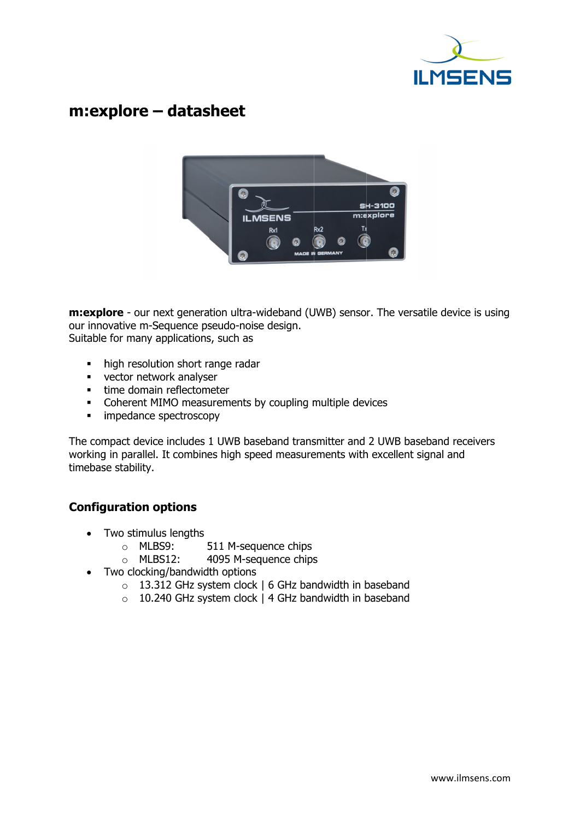

# m:explore – datasheet



**m:explore** - our next generation ultra-wideband (UWB) sensor. The versatile device is using our innovative m-Sequence pseudo-noise design. Suitable for many applications, such as m-Sequence pseudo-nois<br>any applications, such as<br>solution short range rada<br>network analyser

- high resolution short range radar
- vector network analyser
- **time domain reflectometer**
- uitable for many applications, such as<br>
 high resolution short range radar<br>
 vector network analyser<br>
 time domain reflectometer<br>
 Coherent MIMO measurements by coupling multiple devices Coherent MIMO measurements by coupling<br>mpedance spectroscopy
	- i impedance spectroscopy

The compact device includ mpedance includes 1 UWB baseband transmitter and working in parallel. timebase stability. ompact devi<br>ng in parallel<br>ase stability. . It combines high speed measurements with excellent signal and widtra-wideband (UWB) sensor<br>do-noise design.<br>ich as<br>e radar<br>Trenents by coupling multiple dev<br>WB baseband transmitter and<br>igh speed measurements with<br>M-sequence chips<br>5 M-sequence chips baseband transmitter and 2 UWB baseband receivers<br>speed measurements with excellent signal and<br>equence chips<br>sequence chips

# Configuration options

- Two stimulus lengths lengths
	- o MLBS9: 511 M 511 M-sequence chips
	- o MLBS12: 4095 M 4095 M-sequence chips
- Two clocking/bandwidth options
	- o 13.312 GHz system clock | 6 GHz bandwidth in baseband
	- $\circ$  10.240 GHz system clock | 4 GHz bandwidth in baseband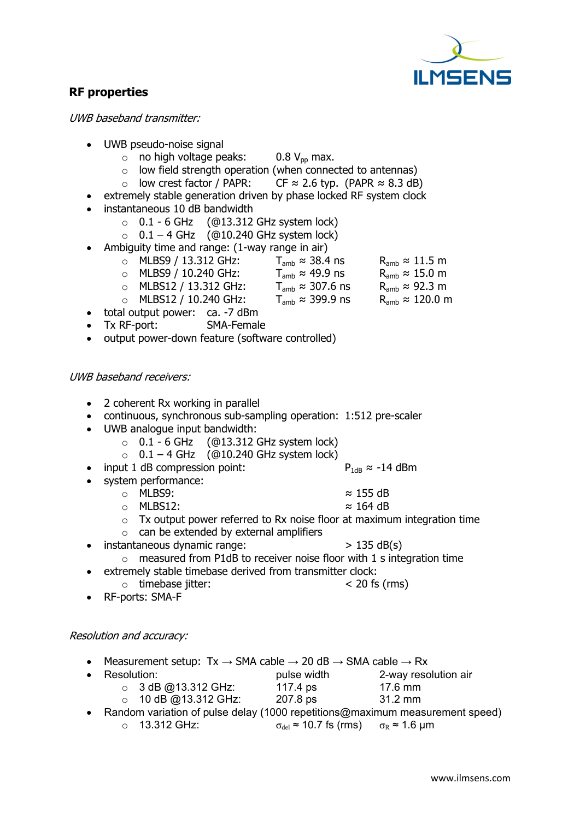

# RF properties

UWB baseband transmitter:

- UWB pseudo pseudo-noise signal
	- B pseudo-noise signal<br>○ no high voltage peaks:  $0.8 V_{\text{pp}}$  max.
	- $\circ$  low field strength operation operation (when connected to antennas)
	- $\circ$  low crest factor / PAPR: CF  $\approx$  2.6 typ. (PAPR  $\approx$  8.3 dB)
- extremely stable generation driven by phase locked RF system clock
- instantaneous 10 dB bandwidth no high voltage peaks<br>low field strength ope<br>low crest factor / PAP<br>ely stable generation c<br>aneous 10 dB bandwid<br>0.1 - 6 GHz (@13.3
	- $\circ$  0.1 6 GHz (@13.312 GHz system lock)
	-
- Ambiguity time and range: (1-way range in air)

|                                                                 |                       |  | $\circ$ low crest factor / PAPR: CF $\approx$ 2.6 typ. (PAPR $\approx$ 8.3 dB) |                          |
|-----------------------------------------------------------------|-----------------------|--|--------------------------------------------------------------------------------|--------------------------|
| remely stable generation driven by phase locked RF system clock |                       |  |                                                                                |                          |
| tantaneous 10 dB bandwidth                                      |                       |  |                                                                                |                          |
|                                                                 |                       |  | $\circ$ 0.1 - 6 GHz (@13.312 GHz system lock)                                  |                          |
|                                                                 |                       |  | $\circ$ 0.1 – 4 GHz (@10.240 GHz system lock)                                  |                          |
| biguity time and range: (1-way range in air)                    |                       |  |                                                                                |                          |
|                                                                 |                       |  | ○ MLBS9 / 13.312 GHz: $T_{amb} \approx 38.4$ ns                                | $R_{amb} \approx 11.5$ m |
|                                                                 | o MLBS9 / 10.240 GHz: |  | $T_{\text{amb}} \approx 49.9$ ns                                               | $R_{amb} \approx 15.0$ m |
|                                                                 |                       |  |                                                                                |                          |

- o MLBS9 / 13.312 GHz:<br>o MLBS9 / 10.240 GHz:  $\mathsf{T}_{\mathsf{amb}}$  ≈ 49.9 ns
- o MLBS MLBS12 / 13.312 GHz: 。 MLBS12 / 13.312 GHz:<br>。 MLBS12 / 10.240 GHz:  $\mathsf{T}_{\mathsf{amb}}$  ≈ 307.6 ns  $R_{amb}$  ≈ 92.3 m
- $\mathsf{T}_{\mathsf{amb}}$  ≈ 399.9 ns  $R_{amb} \approx 120.0$  m
- total output power: ca. -7 dBm
- Tx RF-port: SMA SMA-Female
- output power-down feature (software controlled)

#### UWB baseband receivers:

- 2 coherent Rx working in parallel
- continuous, synchronous sub-sampling operation: 1:512 pre-scaler
- UWB analogue input bandwidth analogue input bandwidth:
	- B analogue input bandwidth:<br>○ 0.1 6 GHz (@13.312 GHz system lock)
	- $\circ$  0.1 4 GHz (@10.240 GHz system lock) (@13.312 GHz<br>(@10.240 GHz<br>›n point:
- input 1 dB compression point:
- system performance:
	- o MLBS9:
	- o MLBS12:
- SMA-Female<br>
gature (software controlled)<br>
gain parallel<br>
bous sub-sampling operation: 1:512 pre-scaler<br>
andwidth:<br>
(@13.312 GHz system lock)<br>
(@10.240 GHz system lock)<br>
P<sub>1dB</sub>  $\approx$  -14 dBm<br>  $\approx$  155 dB<br>  $\approx$  164 dB<br>
er re ≈ 164 64 dB
	- $\circ$  can be extended by external amplifiers
- instantaneous dynamic range o Tx output power referred to Rx noise floor at maximum integration time noise floor range:  $> 135$  dB(s)
- o measured from P1dB to receiver n % power referred to Rx noise floor at maximum integration time<br>tended by external amplifiers<br>namic range:  $> 135 \text{ dB(s)}$ <br>from P1dB to receiver noise floor with 1 s integration time<br>timebase derived from transmitter clock:<br>
- extremely stable timebase derived from transmitter clock:
	- $\circ$  timebase jitter:  $<$  20 fs (rms)
- RF-ports: SMA-F

# Resolution and accuracy:

- o timebase jitter:  $\bullet$  RF-ports: SMA-F<br> *Neasurement setup:* Tx → SMA cable → 20 dB → SMA cable → Rx<br>  $\bullet$  Measurement setup: Tx → SMA cable → 20 dB → SMA cable → Rx
- Resolution: o 3 dB @13.312 GHz: pulse width 117.4 ps pulse width 2-way resol<br>
117.4 ps 17.6 mm<br>
207.8 ps 31.2 mm<br>
00 repetitions@maximum measur<br>  $\sigma_{del} \approx 10.7$  fs (rms)  $\sigma_R \approx 1.6$  µm 2-way resolution air 17.6 mm
	- o 10 dB @13.312 GHz: @13.312 GHz:<br>3 @13.312 GHː<br>iation of pulse o 207.8 ps ps 31.2 mm
- Random variation Random variation pulse delay (1000 repetitions@maximum measurement speed)
	- o 13.312 GHz:

- 
- 
- 

≈ 155 155 dB

 $P_{1dB}$  ≈ -14 dBm